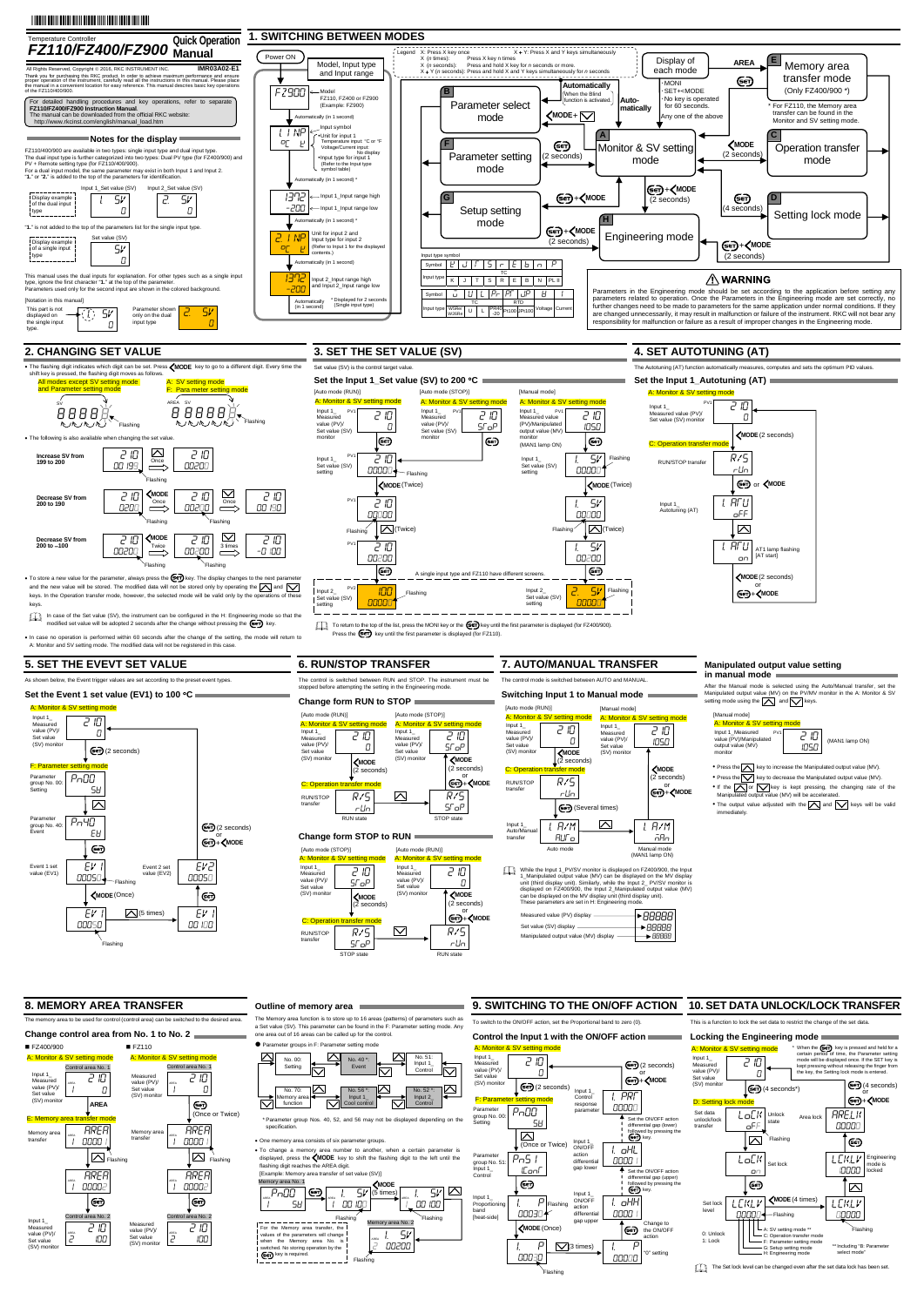$\bullet$  To store a new value for the parameter, always press the  $\overline{\text{Ger}}$  key. The display changes to the next parameter, always press the  $\overline{\text{Ger}}$ and the new value will be stored. The modified data will not be stored only by operating the  $\bigwedge$  and  $\bigvee$ keys. In the Operation transfer mode, however, the selected mode will be valid only by the op keys.

In case of the Set value (SV), the instrument can be configured in the H: Engineering modified set value will be adopted 2 seconds after the change without pressing the  $\leftarrow$  key.

eration is performed within 60 seconds after the change of the setting, the mode will return to A: Monitor and SV setting mode. The modified data will not be registered in this case.

## **2. CHANGING SET VALUE**

While the Input 1\_PV/SV monitor is displayed on FZ400/900, the Input 1\_Manipulated output value (MV) can be displayed on the MV display<br>unit (third display unit). Similarly, while the Input 2\_ PV/SV monitor is<br>displayed on FZ400/900, the Input 2\_Manipulated output value (MV) can be displayed on the MV display unit (third display unit). These parameters are set in H: Engineering mode.

After the Manual mode is selected using the Auto/Manual transfer, set the Manipulated output value (MV) on the PV/MV monitor in the A: Monitor & SV setting mode using the  $\sum$  and  $\sum$  keys.

The Memory area function is to store up to 16 areas (patterns) of parameters such as a Set value (SV). This parameter can be found in the F: Parameter setting mode. Any a Set value (SV). This parameter can be found in the F: Param one area out of 16 areas can be called up for the control.

#### **Parameter groups in F: Parameter setting mode**

\* Parameter group Nos. 40, 52, and 56 may not be displayed depending on the specification

## **3. SET THE SET VALUE (SV)**

**4. SET AUTOTUNING (AT)** 

## **5. SET THE EVEVT SET VALUE**

As shown below, the Event trigger values are set according to the preset event types.

## **Set the Event 1 set value (EV1) to 100 C**

**6. RUN/STOP TRANSFER** 

The control is switched between RUN and STOP. The instrument must be stopped before attempting the setting in the Engineering mode.

**Change form RUN to STOP** 

A: Monitor & Input 1\_ Measured value (PV)/ Set value (SV) monito

**Change form STOP to RUN**

## **7. AUTO/MANUAL TRANSFER**

The control mode is switched between AUTO and MANUAL.

**Switching Input 1 to Manual mode** 

Input 1\_ L.<br>totuning (AT)

82R/S  $\frac{r \, \text{LIn}}{R \text{ UN state}}$  A: Monitor & [Auto mode (STOP)]



#### **Manipulated output value setting in manual mode**

 $R/S$ STOP

RUN/STOP transfer  $C:$  Or

8 210  $\Gamma$ 

## **8. MEMORY AREA TRANSFER**

The memory area to be used for control (control area) can be switched to the desired area.

## **Outline of memory area**



To return to the top of the list, press the MONI key or the (SET) key until the first parameter is displayed (for FZ400/900). Press the  $\overline{\text{Ger}}$  key until the first parameter is displayed (for FZ110).

One memory area consists of six parameter groups.

witched. No storing operation by the **(Set)** key is required.



 To change a memory area number to another, when a certain parameter is displayed, press the  $\langle \text{MODE} \rangle$  key to shift the flashing digit to the left until the flashing digit reaches the AREA digit. [Example: Memory area transfer of set value (SV)]

To switch to the ON/OFF action, set the Proportional band to zero (0).

#### **9. SWITCHING TO THE ON/OFF ACTION 10. SET DATA UNLOCK/LOCK TRANSFER**

## **Control the Input 1 with the ON/OFF action**

#### 00 100  $1.9V$ ory area No. 2 Flashing For the Memory area transfer, the values of the parameters will change when the Memory area No. is

This is a function to lock the set data to restrict the change of the set data.

#### **Locking the Engineering mode**

1.8ATU oFF

type.

or<br>+**<MODE MODE**(2 seconds)

Input 1\_ Measured value (PV)/ Set value (SV) monito

 $\sum$ 

A: Monit Input 1\_ Measured value (PV) Set value (SV) monito

STOP state RUN state

 $\boxtimes$ 

seconds) **MODE**

or<br>|**+<MODE** (2 seconds) **MODE**

STOP state

#### **Change control area from No. 1 to No. 2**  ■ FZ400/900 ■ FZ110  $A:$  Mc A: Monitor & SV setting mode Control area No. 1 Control area No. 1 Input 1\_ 8 210 Measured 8 210 Measure value (PV)/ Set value value (PV)/ 1 1  $\Box$ 0 AREA Set value (SV) monit (SV) monito **AREA** ො (Once or Twice) E: Mem **AREA** AREA Memory area Memory area transfer transfer 0000 **0000** 1 1 1  $\sqrt{\sum}$  Flashing  $\Box$  Flashing **AREA** AREA 1 00002 AREA 1 00002 AREA ∣⊛ ∣ො l area No. 2 de area No. 2 Input 1\_ 8 210 Measured<br>value (PV)/<br>Set value<br>(SV) monitor 8 210 Measured value (PV)/ Set value 2 100 AREA 100 (SV) monitor

#### A: Monitor & SV set [Manual mode]

8 210 0

82R/S

**Get)** or *(MODE* 

1.8ATU on

 $\sum$ 

AT1 lamp flashing [AT start]

8 210 0

RUN/STOP transfer

A: Monito Input 1\_ Measur value (PV)/ Set value (SV) monito

C: Operation transfer mode

82R/S SToP

[Auto mode (RUN)]

8 210 STOP

8 210 STOP

[Auto mode (STOP)]

82R/S rUn

[Auto mode (RUN)]



# responsibility for malfunction or failure as a result of improper changes in the Engineering mode



PV1

RUN/STOP transfer | 「パノコ

tor & SV

med value (PV)/

2

00200 AREA





Flashing



The Set lock level can be changed even after the set data lock has been set.

1  $\sqrt{P \cap 00}$  (so  $\sqrt{P \cap 00}$  $5H$ 1 00100 AREA  $1.5V(5 \text{ times})$ 1 Flashing Memory area No. 1 **MODE**

**MODE** (2 seconds)

or **E**er)+ <MODE (2 seconds) **MODE**



 $\bullet$  Press the  $\land$  key to increase the Manipulated output value (MV).  $\bullet$  Press the  $\sqrt{\phantom{a}}$  key to decrease the Manipulated output value (MV).

If the  $\bigcap$  or  $\bigvee$  key is kept pressing, the changing rate of the Manipulated output value (MV) will be accelerated.

• The output value adjusted with the  $\boxed{\bigwedge}$  and  $\boxed{\bigvee}$  keys will be valid immedia

monitor

(2 seconds) **MODE**

| Measured value (PV) display           | †≻ <i>RRRRR</i> II  |
|---------------------------------------|---------------------|
| Set value (SV) display                | $\rightarrow$ AARAA |
| Manipulated output value (MV) display |                     |